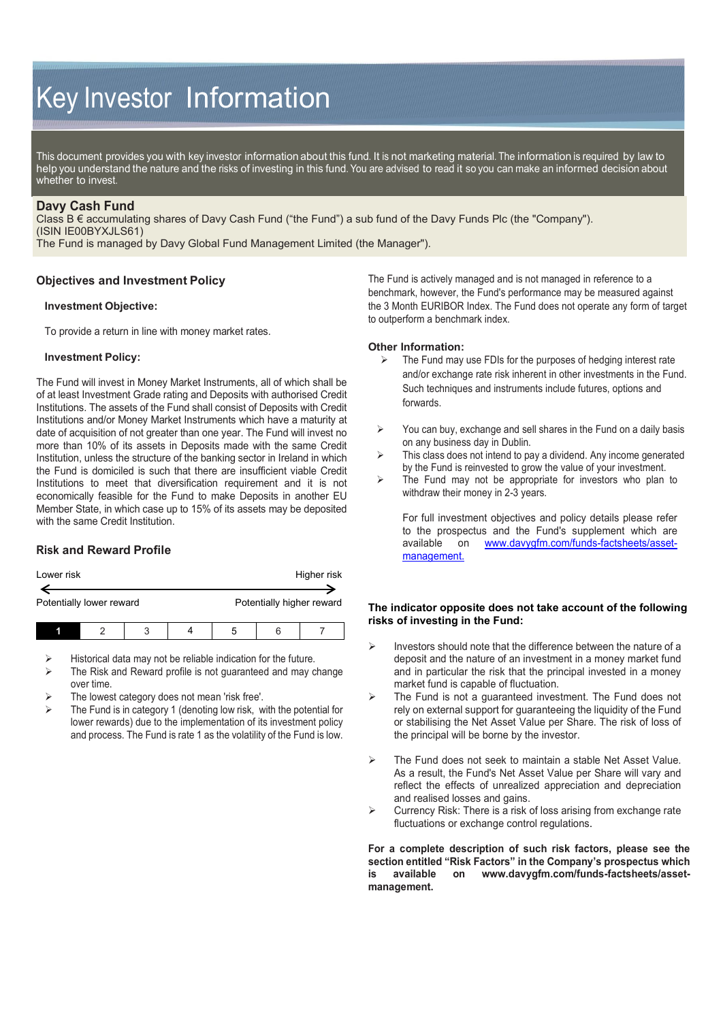# Key Investor Information

This document provides you with key investor information about this fund. It is not marketing material. The information is required by law to help you understand the nature and the risks of investing in this fund. You are advised to read it so you can make an informed decision about whether to invest.

# **Davy Cash Fund**

Class B € accumulating shares of Davy Cash Fund ("the Fund") a sub fund of the Davy Funds Plc (the "Company"). (ISIN IE00BYXJLS61)

The Fund is managed by Davy Global Fund Management Limited (the Manager").

## **Objectives and Investment Policy**

## **Investment Objective:**

To provide a return in line with money market rates.

## **Investment Policy:**

The Fund will invest in Money Market Instruments, all of which shall be of at least Investment Grade rating and Deposits with authorised Credit Institutions. The assets of the Fund shall consist of Deposits with Credit Institutions and/or Money Market Instruments which have a maturity at date of acquisition of not greater than one year. The Fund will invest no more than 10% of its assets in Deposits made with the same Credit Institution, unless the structure of the banking sector in Ireland in which the Fund is domiciled is such that there are insufficient viable Credit Institutions to meet that diversification requirement and it is not economically feasible for the Fund to make Deposits in another EU Member State, in which case up to 15% of its assets may be deposited with the same Credit Institution.

# **Risk and Reward Profile**

| Lower risk               |  |   |  | Higher risk               |  |  |
|--------------------------|--|---|--|---------------------------|--|--|
| Potentially lower reward |  |   |  | Potentially higher reward |  |  |
|                          |  | ↷ |  |                           |  |  |

- Historical data may not be reliable indication for the future.
- $\triangleright$  The Risk and Reward profile is not guaranteed and may change over time.
- The lowest category does not mean 'risk free'.
- The Fund is in category 1 (denoting low risk, with the potential for lower rewards) due to the implementation of its investment policy and process. The Fund is rate 1 as the volatility of the Fund is low.

The Fund is actively managed and is not managed in reference to a benchmark, however, the Fund's performance may be measured against the 3 Month EURIBOR Index. The Fund does not operate any form of target to outperform a benchmark index.

#### **Other Information:**

- $\triangleright$  The Fund may use FDIs for the purposes of hedging interest rate and/or exchange rate risk inherent in other investments in the Fund. Such techniques and instruments include futures, options and forwards.
- $\triangleright$  You can buy, exchange and sell shares in the Fund on a daily basis on any business day in Dublin.
- $\triangleright$  This class does not intend to pay a dividend. Any income generated by the Fund is reinvested to grow the value of your investment.
- $\triangleright$  The Fund may not be appropriate for investors who plan to withdraw their money in 2-3 years.

For full investment objectives and policy details please refer to the prospectus and the Fund's supplement which are available on [www.davygfm.com/funds-factsheets/asset](http://www.davygfm.com/funds-factsheets/asset-management)[management.](http://www.davygfm.com/funds-factsheets/asset-management)

## **The indicator opposite does not take account of the following risks of investing in the Fund:**

- $\triangleright$  Investors should note that the difference between the nature of a deposit and the nature of an investment in a money market fund and in particular the risk that the principal invested in a money market fund is capable of fluctuation.
- $\triangleright$  The Fund is not a guaranteed investment. The Fund does not rely on external support for guaranteeing the liquidity of the Fund or stabilising the Net Asset Value per Share. The risk of loss of the principal will be borne by the investor.
- > The Fund does not seek to maintain a stable Net Asset Value. As a result, the Fund's Net Asset Value per Share will vary and reflect the effects of unrealized appreciation and depreciation and realised losses and gains.
- Currency Risk: There is a risk of loss arising from exchange rate fluctuations or exchange control regulations.

**For a complete description of such risk factors, please see the section entitled "Risk Factors" in the Company's prospectus which is available on [www.davygfm.com/funds-factsheets/asset](http://www.davygfm.com/funds-factsheets/asset-management)[management.](http://www.davygfm.com/funds-factsheets/asset-management)**